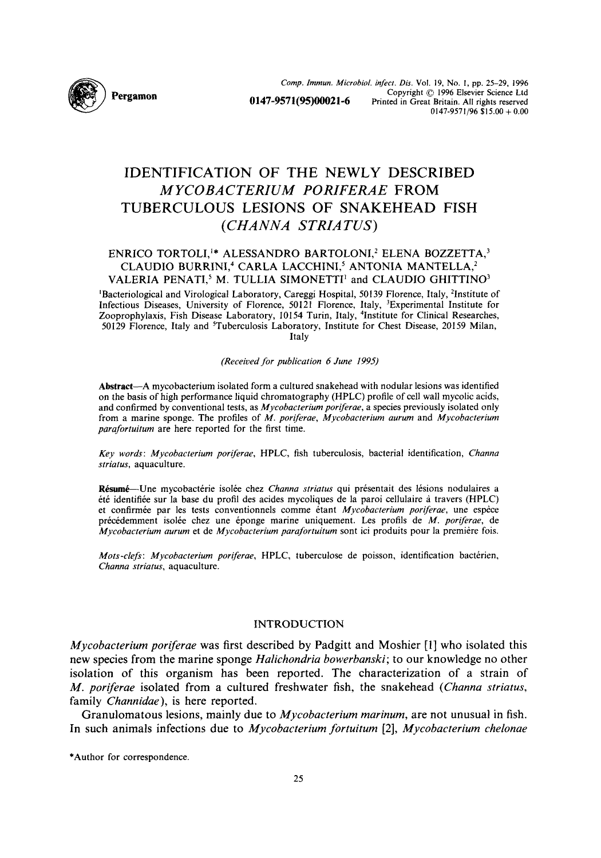Comp. Immun. Microbiol. infect. Dis. Vol. 19, No. 1, pp. 25–29, 1996<br>Copyright © 1996 Elsevier Science Ltd<br>O147-9571195)00021-6 Printed in Great Britain. All rights reserved Copyright © 1996 Elsevier Science Ltd Printed in Great Britain. All rights reserved  $0147-9571/96$  \$15.00 + 0.00

# **IDENTIFICATION OF THE NEWLY DESCRIBED**  *M YCOBACTERIUM PORIFERAE* **FROM**  TUBERCULOUS LESIONS OF SNAKEHEAD FISH *(CHANNA STRIA TUS)*

## ENRICO TORTOLI,<sup>1</sup>\* ALESSANDRO BARTOLONI,<sup>2</sup> ELENA BOZZETTA,<sup>3</sup> CLAUDIO BURRINI,<sup>4</sup> CARLA LACCHINI,<sup>5</sup> ANTONIA MANTELLA,<sup>2</sup> VALERIA PENATI,<sup>5</sup> M. TULLIA SIMONETTI<sup>1</sup> and CLAUDIO GHITTINO<sup>3</sup>

<sup>1</sup>Bacteriological and Virological Laboratory, Careggi Hospital, 50139 Florence, Italy, <sup>2</sup>Institute of Infectious Diseases, University of Florence, 50121 Florence, Italy, 3Experimental Institute for Zooprophylaxis, Fish Disease Laboratory, 10154 Turin, Italy, 4Institute for Clinical Researches, 50129 Florence, Italy and 5Tuberculosis Laboratory, Institute for Chest Disease, 20159 Milan, Italy

*(Received for publication 6 June 1995)* 

Abstract--A mycobacterium isolated form a cultured snakehead with nodular lesions was identified on the basis of high performance liquid chromatography (HPLC) profile of cell wall mycolic acids, and confirmed by conventional tests, as *Mycobacterium poriferae,* a species previously isolated only from a marine sponge. The profiles of *M. porferae, Mycobacterium aurum* and *Mycobacterium parafortuiturn* are here reported for the first time.

*Key words: Mycobacterium poriferae,* HPLC, fish tuberculosis, bacterial identification, *Channa striatus,* aquaculture.

Résumé--Une mycobactérie isolée chez *Channa striatus* qui présentait des lésions nodulaires a été identifiée sur la base du profil des acides mycoliques de la paroi cellulaire à travers (HPLC) et confirmée par les tests conventionnels comme étant *Mycobacterium poriferae*, une espèce précédemment isolée chez une éponge marine uniquement. Les profils de *M. poriferae*, de *Mycobacterium aurum* et de *Mycobacterium parafortuitum* sont ici produits pour la premiere fois.

*Mots-clefs: Mycobacterium poriferae, HPLC, tuberculose de poisson, identification bactérien, Channa striatus,* aquaculture.

## INTRODUCTION

*Mycobacterium poriferae* was first described by Padgitt and Moshier [1] who isolated this new species from the marine sponge *Halichondria bowerbanski;* to our knowledge no other isolation of this organism has been reported. The characterization of a strain of *M. poriferae* isolated from a cultured freshwater fish, the snakehead *(Channa striatus,*  family *Channidae),* is here reported.

Granulomatous lesions, mainly due to *Mycobacterium marinum,* are not unusual in fish. In such animals infections due to *Mycobacterium fortuitum* [2], *Mycobacterium chelonae* 

<sup>\*</sup>Author for correspondence.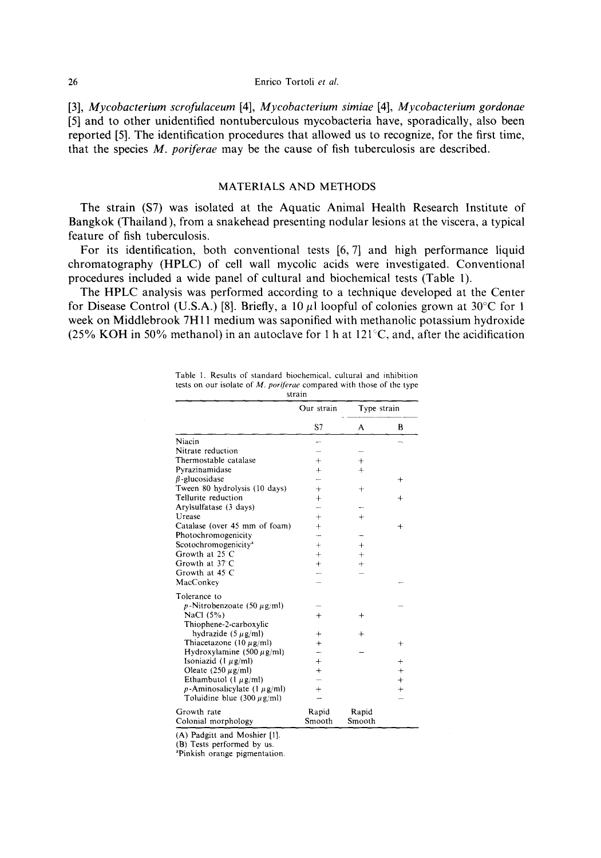#### 26 Enrico Tortoli *et aL*

[3], *Mycobacterium scrofulaceum* [4], *Mycobacterium simiae* [4], *Mycobacterium gordonae*  **[5] and to other unidentified nontuberculous mycobacteria have, sporadically, also been reported [5]. The identification procedures that allowed us to recognize, for the first time, that the species** *M. poriferae* **may be the cause of fish tuberculosis are described.** 

### **MATERIALS AND METHODS**

**The strain (\$7) was isolated at the Aquatic Animal Health Research Institute of Bangkok (Thailand), from a snakehead presenting nodular lesions at the viscera, a typical feature of fish tuberculosis.** 

**For its identification, both conventional tests [6, 7] and high performance liquid chromatography (HPLC) of cell wall mycolic acids were investigated. Conventional procedures included a wide panel of cultural and biochemical tests (Table I).** 

**The HPLC analysis was performed according to a technique developed at the Center**  for Disease Control (U.S.A.) [8]. Briefly, a 10  $\mu$ l loopful of colonies grown at 30<sup>o</sup>C for 1 **week on Middlebrook 7H 11 medium was saponified with methanolic potassium hydroxide (25% KOH in 50% methanol) in an autoclave for 1 h at 121~C, and, after the acidification** 

|                                         | Our strain | Type strain |           |
|-----------------------------------------|------------|-------------|-----------|
|                                         | S7         | A           | B         |
| Niacin                                  |            |             |           |
| Nitrate reduction                       |            |             |           |
| Thermostable catalase                   | $+$        | $^{+}$      |           |
| Pyrazinamidase                          | $+$        | $+$         |           |
| $\beta$ -glucosidase                    |            |             | $\ddot{}$ |
| Tween 80 hydrolysis (10 days)           | $+$        | $^{+}$      |           |
| Tellurite reduction                     | $+$        |             | $^{+}$    |
| Arylsulfatase (3 days)                  | ÷          |             |           |
| Urease                                  | $+$        | $+$         |           |
| Catalase (over 45 mm of foam)           | $+$        |             | $^{+}$    |
| Photochromogenicity                     |            |             |           |
| Scotochromogenicity <sup>a</sup>        | $+$        | $^{+}$      |           |
| Growth at $25^\circ$ C                  | $+$        | $+$         |           |
| Growth at 37°C                          | $^{+}$     | $+$         |           |
| Growth at 45 C                          |            |             |           |
| MacConkey                               |            |             |           |
| Tolerance to                            |            |             |           |
| $p$ -Nitrobenzoate (50 $\mu$ g/ml)      |            |             |           |
| NaCl (5%)                               | $+$        | $\ddot{}$   |           |
| Thiophene-2-carboxylic                  |            |             |           |
| hydrazide $(5 \mu g/ml)$                | ╇          | $\ddot{}$   |           |
| Thiacetazone (10 $\mu$ g/ml)            | $+$        |             | $^{+}$    |
| Hydroxylamine (500 $\mu$ g/ml)          |            |             |           |
| Isoniazid $(l \mu g/ml)$                | $+$        |             | $+$       |
| Oleate $(250 \mu g/ml)$                 | $\ddot{}$  |             | $+$       |
| Ethambutol (1 $\mu$ g/ml)               |            |             | $+$       |
| $p$ -Aminosalicylate (1 $\mu$ g/ml)     | $+$        |             | $+$       |
| Toluidine blue $(300 \,\mu\text{g/ml})$ |            |             |           |
| Growth rate                             | Rapid      | Rapid       |           |
| Colonial morphology                     | Smooth     | Smooth      |           |

**Table 1. Results of standard biochemical, cultural and inhibition**  tests on our isolate of *M. poriferae* compared with those of the type **strain** 

(A) **Padgitt and Moshier** [1].

(B) **Tests performed by us.** 

**aPinkish orange pigmentation.**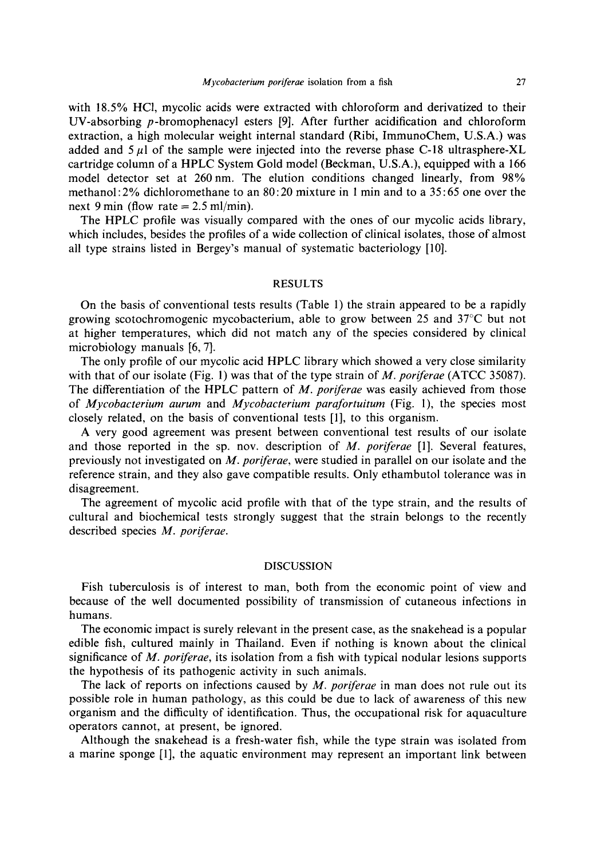with 18.5% HC1, mycolic acids were extracted with chloroform and derivatized to their UV-absorbing p-bromophenacyl esters [9]. After further acidification and chloroform extraction, a high molecular weight internal standard (Ribi, ImmunoChem, U.S.A.) was added and  $5~\mu$ l of the sample were injected into the reverse phase C-18 ultrasphere-XL cartridge column of a HPLC System Gold model (Beckman, U.S.A.), equipped with a 166 model detector set at 260nm. The elution conditions changed linearly, from 98% methanol:2% dichloromethane to an 80:20 mixture in 1 min and to a 35:65 one over the next 9 min (flow rate  $= 2.5$  ml/min).

The HPLC profile was visually compared with the ones of our mycolic acids library, which includes, besides the profiles of a wide collection of clinical isolates, those of almost all type strains listed in Bergey's manual of systematic bacteriology [10].

#### RESULTS

On the basis of conventional tests results (Table 1) the strain appeared to be a rapidly growing scotochromogenic mycobacterium, able to grow between 25 and  $37^{\circ}$ C but not at higher temperatures, which did not match any of the species considered by clinical microbiology manuals [6, 7].

The only profile of our mycolic acid HPLC library which showed a very close similarity with that of our isolate (Fig. 1) was that of the type strain of *M. poriferae* (ATCC 35087). The differentiation of the HPLC pattern of *M. poriferae* was easily achieved from those of *Mycobacterium aurum* and *Mycobacterium parafortuitum* (Fig. 1), the species most closely related, on the basis of conventional tests [1], to this organism.

A very good agreement was present between conventional test results of our isolate and those reported in the sp. nov. description of *M. poriferae* [1]. Several features, previously not investigated on *M. poriferae,* were studied in parallel on our isolate and the reference strain, and they also gave compatible results. Only ethambutol tolerance was in disagreement.

The agreement of mycolic acid profile with that of the type strain, and the results of cultural and biochemical tests strongly suggest that the strain belongs to the recently described species *M. poriferae.* 

### DISCUSSION

Fish tuberculosis is of interest to man, both from the economic point of view and because of the well documented possibility of transmission of cutaneous infections in humans.

The economic impact is surely relevant in the present case, as the snakehead is a popular edible fish, cultured mainly in Thailand. Even if nothing is known about the clinical significance of *M. poriferae,* its isolation from a fish with typical nodular lesions supports the hypothesis of its pathogenic activity in such animals.

The lack of reports on infections caused by *M. poriferae* in man does not rule out its possible role in human pathology, as this could be due to lack of awareness of this new organism and the difficulty of identification. Thus, the occupational risk for aquaculture operators cannot, at present, be ignored.

Although the snakehead is a fresh-water fish, while the type strain was isolated from a marine sponge [1], the aquatic environment may represent an important link between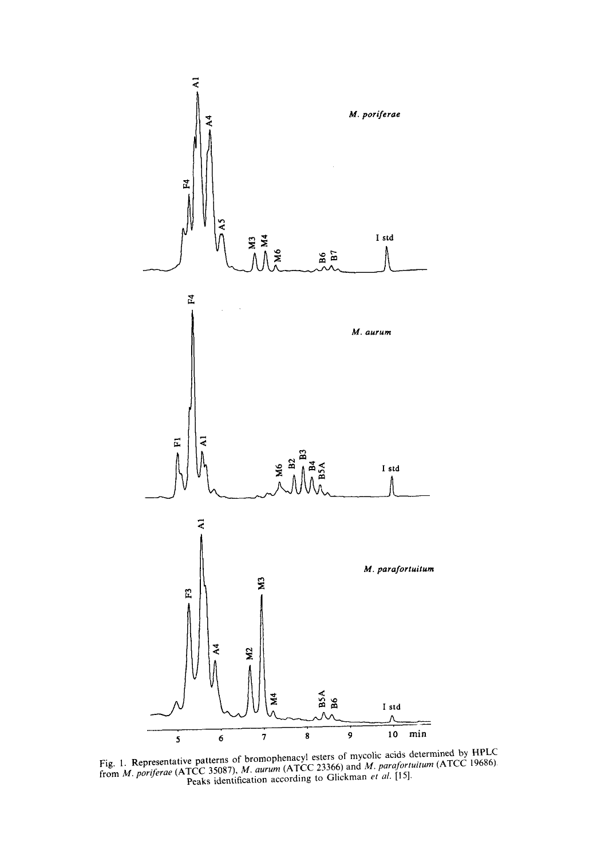

 $F_{1g}$  1. Representative patterns of bromophenacyl esters of mycolic acids determined by HPLCC 10686) from *M. poriferae* (ATCC 35087), *M. aurum* (ATCC 23366) and *M. parafortuitum* (ATCC 19686) Peaks identification according to Glickman *et al.* [15].